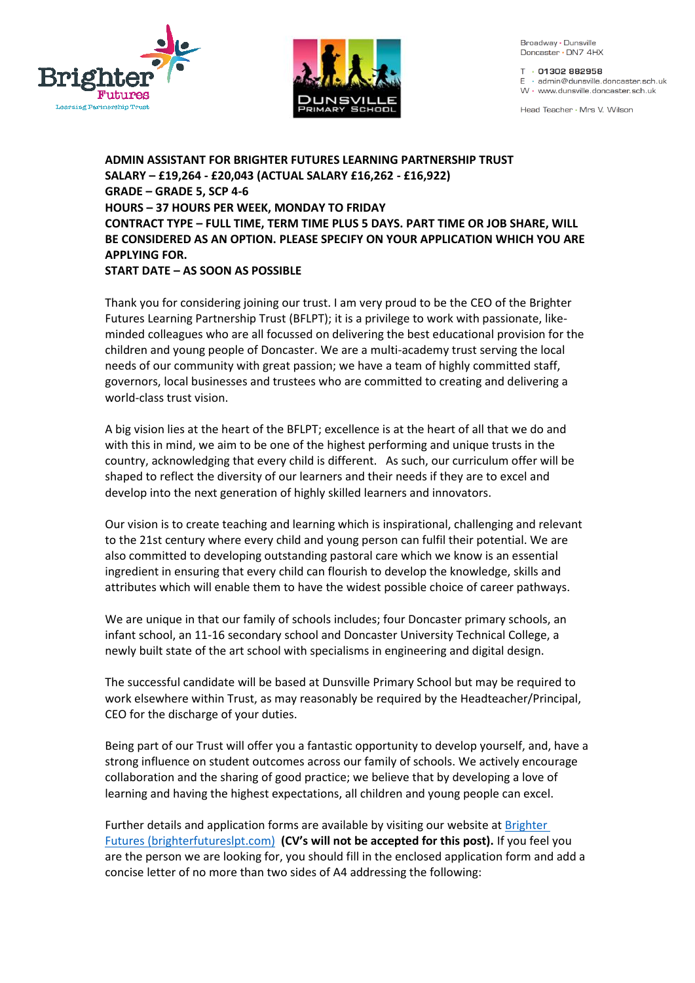



Broadway · Dunsville Doncaster · DN7 4HX

T · 01302 882958  $E \cdot \text{admin@dunsville.doncaster sch.uk}$ W · www.dunsville.doncaster.sch.uk

Head Teacher . Mrs V. Wilson

**ADMIN ASSISTANT FOR BRIGHTER FUTURES LEARNING PARTNERSHIP TRUST SALARY – £19,264 - £20,043 (ACTUAL SALARY £16,262 - £16,922) GRADE – GRADE 5, SCP 4-6 HOURS – 37 HOURS PER WEEK, MONDAY TO FRIDAY CONTRACT TYPE – FULL TIME, TERM TIME PLUS 5 DAYS. PART TIME OR JOB SHARE, WILL BE CONSIDERED AS AN OPTION. PLEASE SPECIFY ON YOUR APPLICATION WHICH YOU ARE APPLYING FOR. START DATE – AS SOON AS POSSIBLE**

Thank you for considering joining our trust. I am very proud to be the CEO of the Brighter Futures Learning Partnership Trust (BFLPT); it is a privilege to work with passionate, likeminded colleagues who are all focussed on delivering the best educational provision for the children and young people of Doncaster. We are a multi-academy trust serving the local needs of our community with great passion; we have a team of highly committed staff, governors, local businesses and trustees who are committed to creating and delivering a world-class trust vision.

A big vision lies at the heart of the BFLPT; excellence is at the heart of all that we do and with this in mind, we aim to be one of the highest performing and unique trusts in the country, acknowledging that every child is different. As such, our curriculum offer will be shaped to reflect the diversity of our learners and their needs if they are to excel and develop into the next generation of highly skilled learners and innovators.

Our vision is to create teaching and learning which is inspirational, challenging and relevant to the 21st century where every child and young person can fulfil their potential. We are also committed to developing outstanding pastoral care which we know is an essential ingredient in ensuring that every child can flourish to develop the knowledge, skills and attributes which will enable them to have the widest possible choice of career pathways.

We are unique in that our family of schools includes; four Doncaster primary schools, an infant school, an 11-16 secondary school and Doncaster University Technical College, a newly built state of the art school with specialisms in engineering and digital design.

The successful candidate will be based at Dunsville Primary School but may be required to work elsewhere within Trust, as may reasonably be required by the Headteacher/Principal, CEO for the discharge of your duties.

Being part of our Trust will offer you a fantastic opportunity to develop yourself, and, have a strong influence on student outcomes across our family of schools. We actively encourage collaboration and the sharing of good practice; we believe that by developing a love of learning and having the highest expectations, all children and young people can excel.

Further details and application forms are available by visiting our website at [Brighter](https://www.brighterfutureslpt.com/careers/filter.php?school=Dunsville+Primary+School)  [Futures \(brighterfutureslpt.com\)](https://www.brighterfutureslpt.com/careers/filter.php?school=Dunsville+Primary+School) **(CV's will not be accepted for this post).** If you feel you are the person we are looking for, you should fill in the enclosed application form and add a concise letter of no more than two sides of A4 addressing the following: